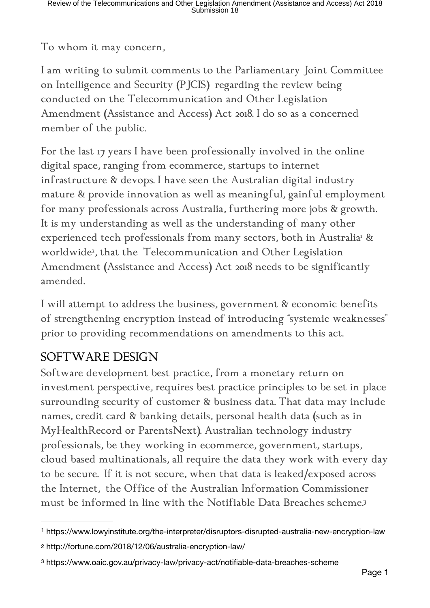To whom it may concern,

I am writing to submit comments to the Parliamentary Joint Committee on Intelligence and Security (PJCIS) regarding the review being conducted on the Telecommunication and Other Legislation Amendment (Assistance and Access) Act 2018. I do so as a concerned member of the public.

For the last 17 years I have been professionally involved in the online digital space, ranging from ecommerce, startups to internet infrastructure & devops. I have seen the Australian digital industry mature & provide innovation as well as meaningful, gainful employment for many professionals across Australia, furthering more jobs & growth. It is my understanding as well as the understanding of many other experienced tech professionals from many sectors, both in Australia<sup>1</sup> & worldwide<sup>2</sup>, that the Telecommunication and Other Legislation Amendment (Assistance and Access) Act 2018 needs to be significantly amended.

I will attempt to address the business, government & economic benefits of strengthening encryption instead of introducing "systemic weaknesses" prior to providing recommendations on amendments to this act.

## SOFTWARE DESIGN

Software development best practice, from a monetary return on investment perspective, requires best practice principles to be set in place surrounding security of customer & business data. That data may include names, credit card & banking details, personal health data (such as in MyHealthRecord or ParentsNext). Australian technology industry professionals, be they working in ecommerce, government, startups, cloud based multinationals, all require the data they work with every day to be secure. If it is not secure, when that data is leaked/exposed across the Internet, the Office of the Australian Information Commissioner must be informed in line with the Notifiable Data Breaches scheme.<sup>3</sup>

<sup>1</sup> https://www.lowyinstitute.org/the-interpreter/disruptors-disrupted-australia-new-encryption-law

<sup>2</sup> http://fortune.com/2018/12/06/australia-encryption-law/

<sup>&</sup>lt;sup>3</sup> https://www.oaic.gov.au/privacy-law/privacy-act/notifiable-data-breaches-scheme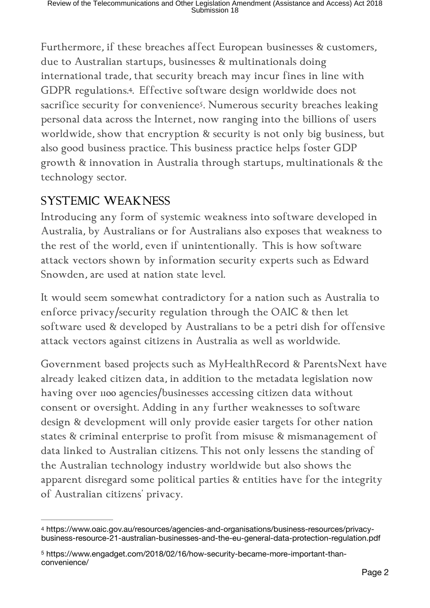Furthermore, if these breaches affect European businesses & customers, due to Australian startups, businesses & multinationals doing international trade, that security breach may incur fines in line with GDPR regulations.<sup>4</sup>. Effective software design worldwide does not sacrifice security for convenience<sup>5</sup>. Numerous security breaches leaking personal data across the Internet, now ranging into the billions of users worldwide, show that encryption & security is not only big business, but also good business practice. This business practice helps foster GDP growth & innovation in Australia through startups, multinationals & the technology sector.

## SYSTEMIC WEAKNESS

Introducing any form of systemic weakness into software developed in Australia, by Australians or for Australians also exposes that weakness to the rest of the world, even if unintentionally. This is how software attack vectors shown by information security experts such as Edward Snowden, are used at nation state level.

It would seem somewhat contradictory for a nation such as Australia to enforce privacy/security regulation through the OAIC & then let software used & developed by Australians to be a petri dish for offensive attack vectors against citizens in Australia as well as worldwide.

Government based projects such as MyHealthRecord & ParentsNext have already leaked citizen data, in addition to the metadata legislation now having over 1100 agencies/businesses accessing citizen data without consent or oversight. Adding in any further weaknesses to software design & development will only provide easier targets for other nation states & criminal enterprise to profit from misuse & mismanagement of data linked to Australian citizens. This not only lessens the standing of the Australian technology industry worldwide but also shows the apparent disregard some political parties & entities have for the integrity of Australian citizens' privacy.

<sup>4</sup> https://www.oaic.gov.au/resources/agencies-and-organisations/business-resources/privacybusiness-resource-21-australian-businesses-and-the-eu-general-data-protection-regulation.pdf

https://www.engadget.com/2018/02/16/how-security-became-more-important-than- <sup>5</sup> convenience/